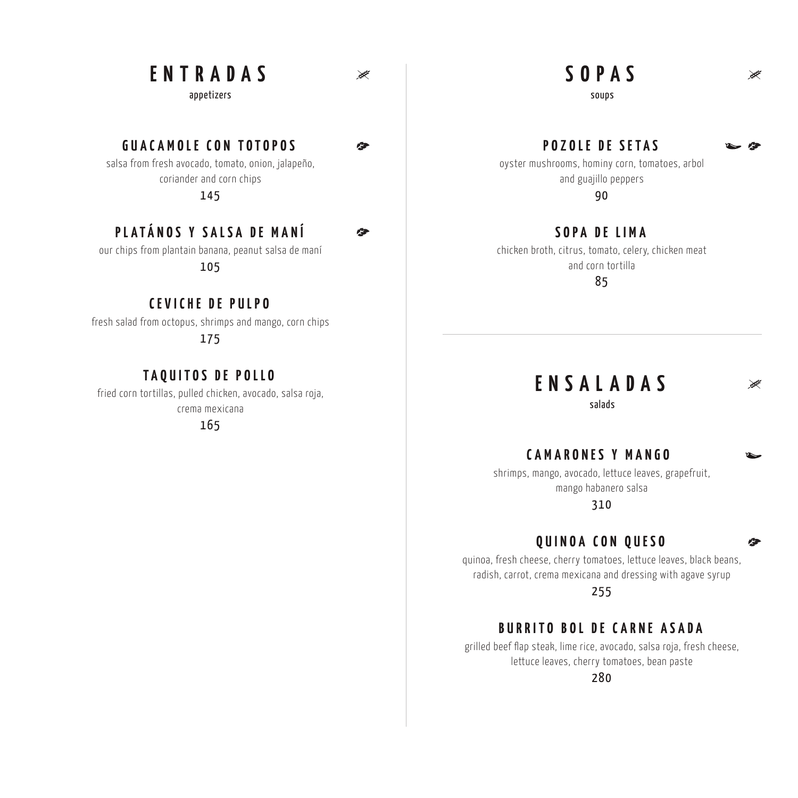# **FNTRADAS**

appetizers

 $\geq$ 

 $\sqrt{2}$ 

企

# **GUACAMOLE CON TOTOPOS**

salsa from fresh avocado, tomato, onion, jalapeño, coriander and corn chips 145

**PLATÁNOS Y SALSA DE MANÍ**

our chips from plantain banana, peanut salsa de maní

105

# **CEVICHE DE PULPO**

fresh salad from octopus, shrimps and mango, corn chips

175

# **TAQUITOS DE POLLO**

fried corn tortillas, pulled chicken, avocado, salsa roja, crema mexicana

165

# **SOPAS**

 $\mathbb{R}^d$ 

全

soups

#### **POZOLE DE SE TAS**

oyster mushrooms, hominy corn, tomatoes, arbol and guajillo peppers 90

**SOPA DE LIMA**

chicken broth, citrus, tomato, celery, chicken meat and corn tortilla

85

# **ENSALADAS**

salads

### **CAMARONES Y MANGO**

shrimps, mango, avocado, lettuce leaves, grapefruit, mango habanero salsa

310

#### **QUINOA CON QUESO**

quinoa, fresh cheese, cherry tomatoes, lettuce leaves, black beans, radish, carrot, crema mexicana and dressing with agave syrup

255

#### **BURRITO BOL DE CARNE ASADA**

grilled beef flap steak, lime rice, avocado, salsa roja, fresh cheese, lettuce leaves, cherry tomatoes, bean paste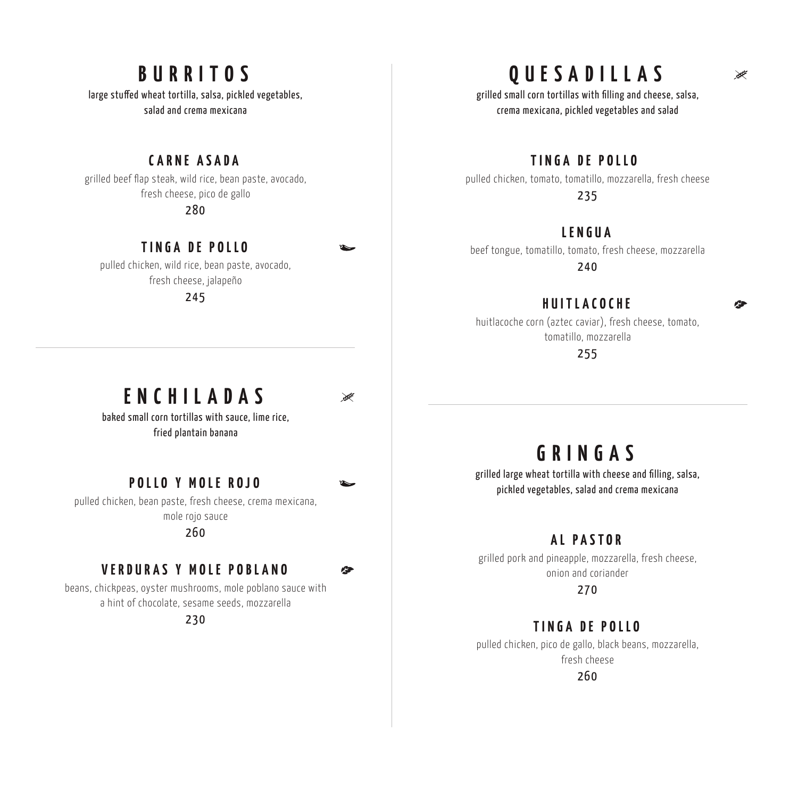# **BURRITOS**

large stuffed wheat tortilla, salsa, pickled vegetables, salad and crema mexicana

#### **CARNE ASADA**

grilled beef flap steak, wild rice, bean paste, avocado, fresh cheese, pico de gallo 280

#### **TINGA DE POLLO**

pulled chicken, wild rice, bean paste, avocado, fresh cheese, jalapeño

245

# **ENCHILADAS**

≫

 $\bullet$ 

baked small corn tortillas with sauce, lime rice, fried plantain banana

#### **POLLO Y MOLE ROJ O**

pulled chicken, bean paste, fresh cheese, crema mexicana, mole rojo sauce

#### 260

#### **VERDURAS Y MOLE POBLANO**

beans, chickpeas, oyster mushrooms, mole poblano sauce with a hint of chocolate, sesame seeds, mozzarella

230

# **QUESADILLAS**

grilled small corn tortillas with filling and cheese, salsa, crema mexicana, pickled vegetables and salad

#### **TINGA DE POLLO**

pulled chicken, tomato, tomatillo, mozzarella, fresh cheese 235

#### **LENGUA**

beef tongue, tomatillo, tomato, fresh cheese, mozzarella 240

### **HUITLACOCHE**

huitlacoche corn (aztec caviar), fresh cheese, tomato, tomatillo, mozzarella

255

# **GRINGAS**

grilled large wheat tortilla with cheese and filling, salsa, pickled vegetables, salad and crema mexicana

#### **AL PASTOR**

grilled pork and pineapple, mozzarella, fresh cheese, onion and coriander

270

### **TINGA DE POLLO**

pulled chicken, pico de gallo, black beans, mozzarella, fresh cheese

260

#### ₩

ra-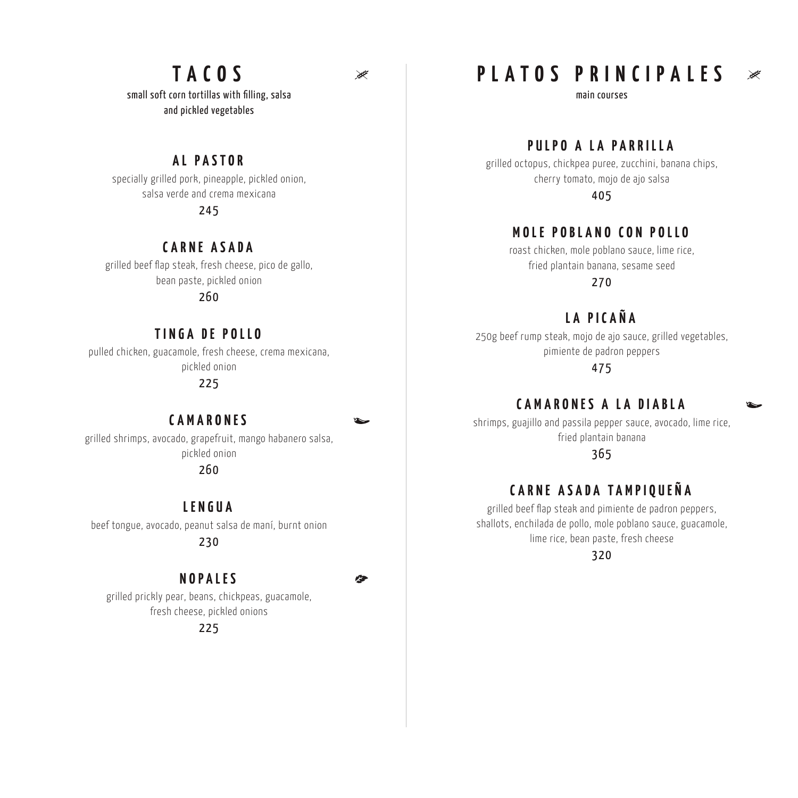# **TACOS**

small soft corn tortillas with filling, salsa and pickled vegetables

#### **AL PASTOR**

specially grilled pork, pineapple, pickled onion, salsa verde and crema mexicana 245

# **CARNE ASADA**

grilled beef flap steak, fresh cheese, pico de gallo, bean paste, pickled onion 260

#### **TINGA DE POLLO**

pulled chicken, guacamole, fresh cheese, crema mexicana, pickled onion

225

### **CAMARONES**

 $\bullet$ 

 $\geq$ 

grilled shrimps, avocado, grapefruit, mango habanero salsa, pickled onion

260

#### **LENGUA**

beef tongue, avocado, peanut salsa de maní, burnt onion

230

### **NOPALES**

grilled prickly pear, beans, chickpeas, guacamole, fresh cheese, pickled onions

#### 225

**PLATOS PRINCIPALES**

main courses

### **PULPO A LA PARRILLA**

grilled octopus, chickpea puree, zucchini, banana chips, cherry tomato, mojo de ajo salsa

405

#### **MOLE POBLANO CON POLLO**

roast chicken, mole poblano sauce, lime rice, fried plantain banana, sesame seed

270

# **LA PICAÑA**

250g beef rump steak, mojo de ajo sauce, grilled vegetables, pimiente de padron peppers

475

# **CAMARONES A LA DIABLA**

shrimps, guajillo and passila pepper sauce, avocado, lime rice, fried plantain banana

365

### **C ARNE ASADA TAMPIQUEÑA**

grilled beef flap steak and pimiente de padron peppers, shallots, enchilada de pollo, mole poblano sauce, guacamole, lime rice, bean paste, fresh cheese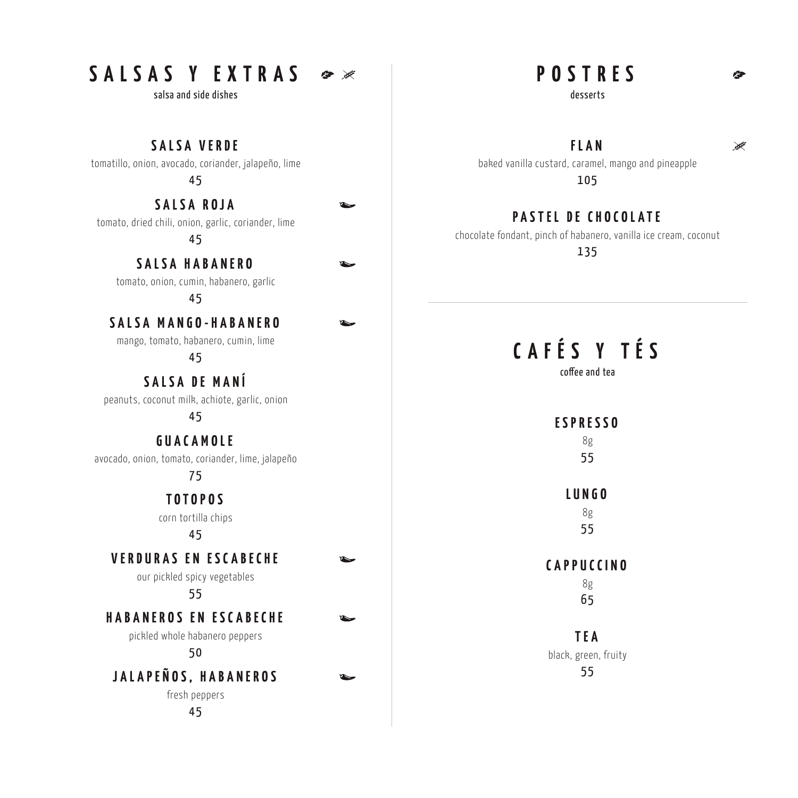# **SALSAS Y EXTRAS**

salsa and side dishes

tomatillo, onion, avocado, coriander, jalapeño, lime **SALSA VERDE**

45

tomato, dried chili, onion, garlic, coriander, lime **SALSA ROJA**

4 5

**SALSA HABANERO**

tomato, onion, cumin, habanero, garlic

45

#### **SALSA MANGO-HABANERO**

mango, tomato, habanero, cumin, lime

45

peanuts, coconut milk, achiote, garlic, onion **SALSA DE MANÍ**

4 5

**GUACAMOLE**

avocado, onion, tomato, coriander, lime, jalapeño

75

**TOTOPOS**

corn tortilla chips

#### 45

**VERDURAS EN ESCABECHE**

our pickled spicy vegetables

55

**HABANEROS EN ESCABECHE**

pickled whole habanero peppers

5 0

fresh peppers **JALAPEÑOS, HABANEROS**

45

**POSTRES**

desserts

**FLAN**

baked vanilla custard, caramel, mango and pineapple 105

# **PASTEL DE CHOCOLATE**

chocolate fondant, pinch of habanero, vanilla ice cream, coconut

135

# **CAFÉS Y TÉS**

coffee and tea

# **ESPRESSO**

8g 5 5

# **LUNGO**

8g 5 5

8g **CAPPUCCINO**

65

black, green, fruity **TEA** 55

 $\geq$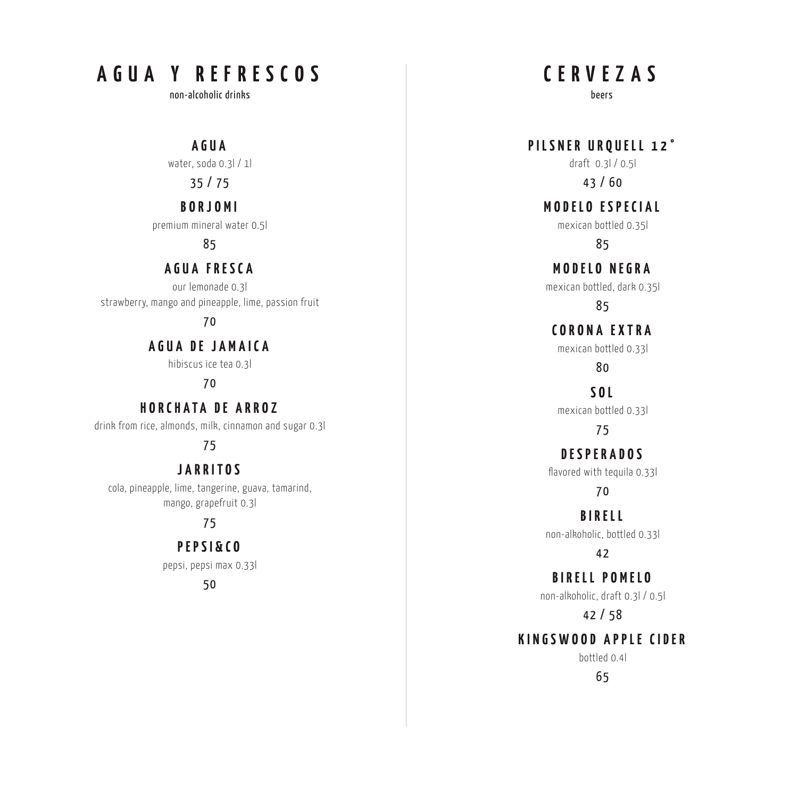# **AGUA Y REFRESCOS**

non-alcoholic drinks

**AGUA**

water, soda 0.3l / 1l

35 / 75

#### **BORJOMI**

premium mineral water 0.5l

85

### **AGUA FRESCA**

our lemonade 0.3l strawberry, mango and pineapple, lime, passion fruit

#### 7 0

**AGUA DE JAMAICA**

hibiscus ice tea 0.3l

#### 7 0

**HORCHATA DE ARROZ**

drink from rice, almonds, milk, cinnamon and sugar 0.3l

### 75

### **JARRITOS**

cola, pineapple, lime, tangerine, guava, tamarind, mango, grapefruit 0.3l

#### 75

**PEPSI&CO**

pepsi, pepsi max 0.33l

5 0

**CERVEZAS**

beers

draft 0.3l / 0.5l **PILSNER URQUELL 12°**

43 / 60

**MODELO ESPECIAL**

mexican bottled 0.35l

85

**MODELO NEGRA**

mexican bottled, dark 0.35l

85

# **CORONA EXTRA**

mexican bottled 0.33l

80

mexican bottled 0.33l **SOL**

75

**DESPERADOS**

flavored with tequila 0.33l

7 0

non-alkoholic, bottled 0.33l **BIRELL**

42

non-alkoholic, draft 0.3l / 0.5l **BIRELL POMELO**

42 / 58

# **KINGSWOOD APPLE CIDER**

bottled 0.4l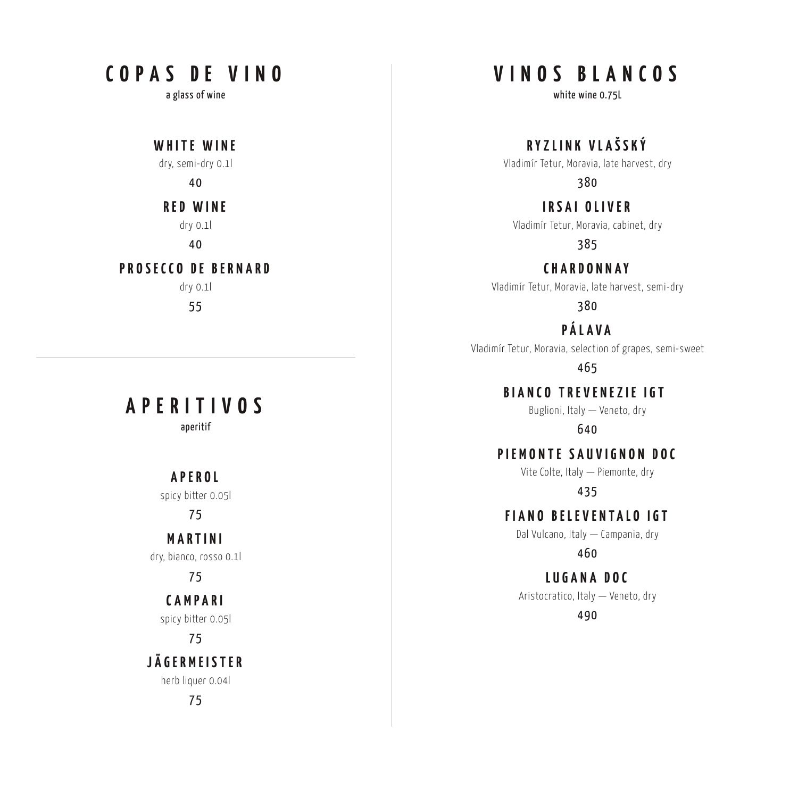# **COPAS DE VINO**

a glass of wine

dry, semi-dry 0.1l **WHITE WINE**

4 0

dry 0.1l **RED WINE**

40

### **PROSECCO DE BERNARD**

dry 0.1l 55

# **APERITIVOS**

aperitif

### **APEROL**

spicy bitter 0.05l

#### 7 5

dry, bianco, rosso 0.1l **MARTINI**

7 5

#### spicy bitter 0.05l **CAMPARI**

7 5

# **JÄGERMEISTER**

herb liquer 0.04l

75

# **VINOS BLANCOS**

white wine 0.75L

**RYZLINK VLAŠSKÝ**

Vladimír Tetur, Moravia, late harvest, dry

380

**IRSAI OLIVER**

Vladimír Tetur, Moravia, cabinet, dry

385

Vladimír Tetur, Moravia, late harvest, semi-dry **CHARDONNAY**

380

**PÁLAVA**

Vladimír Tetur, Moravia, selection of grapes, semi-sweet

465

**BIANCO TREVENEZIE IGT** 

Buglioni, Italy — Veneto, dry

640

**PIEMONTE SAUVIGNON DOC**

Vite Colte, Italy — Piemonte, dry

435

**FIANO BELEVENTALO IGT**

Dal Vulcano, Italy — Campania, dry

460

**LUGANA DOC**

Aristocratico, Italy — Veneto, dry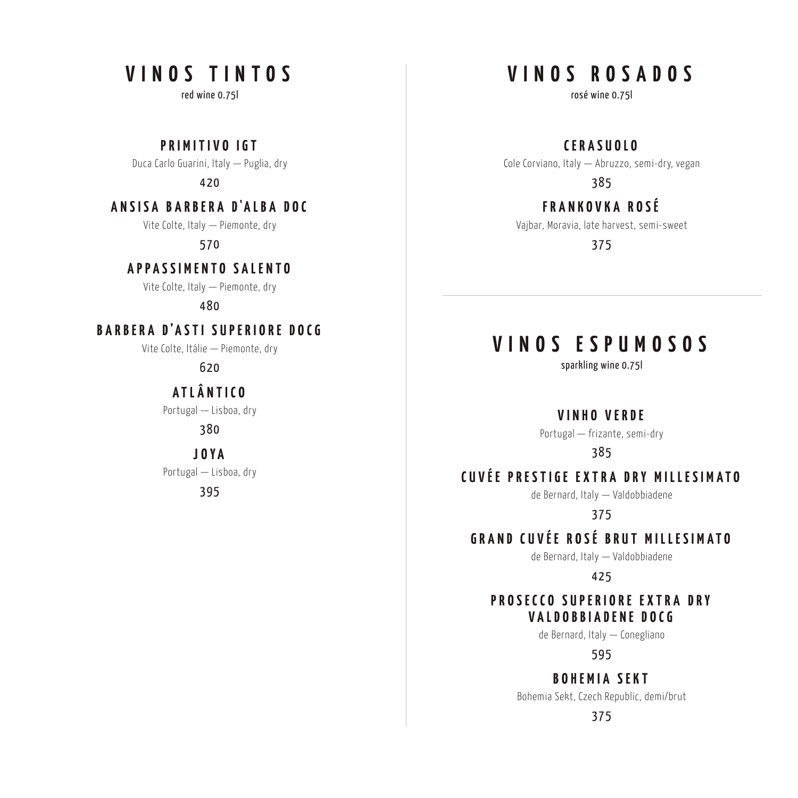# **VINOS TINTOS**

red wine 0.75l

**PRIMITIVO IGT**

Duca Carlo Guarini, Italy — Puglia, dry

420

#### **A N S I S A B A R B E R A D'A L B A D O C**

Vite Colte, Italy — Piemonte, dry

570

### **APPASSIMENTO SALENTO**

Vite Colte, Italy — Piemonte, dry

480

### BARBERA D'ASTI SUPERIORE DOCG

Vite Colte, Itálie — Piemonte, dry

620

# **ATLÂNTICO**

Portugal — Lisboa, dry

380

**J OYA**

Portugal — Lisboa, dry

395

# **VINOS ROSADOS**

rosé wine 0.75l

**CERASUOLO**

Cole Corviano, Italy — Abruzzo, semi-dry, vegan

385

### **FRANKOVKA ROSÉ**

Vajbar, Moravia, late harvest, semi-sweet

375

# **VINOS ESPUMOSOS**

sparkling wine 0.75l

**VINHO VERDE**

Portugal — frizante, semi-dry

385

# **CUVÉE PRESTIGE EXTRA DRY MILLESIMATO**

de Bernard, Italy — Valdobbiadene

375

# **GRAND CUVÉE ROSÉ BRUT MILLESIMATO**

de Bernard, Italy — Valdobbiadene

425

#### **PROSECCO SUPERIORE EXTRA DRY VALDOBBIADENE DOCG**

de Bernard, Italy — Conegliano

595

### **BOHEMIA SEKT**

Bohemia Sekt, Czech Republic, demi/brut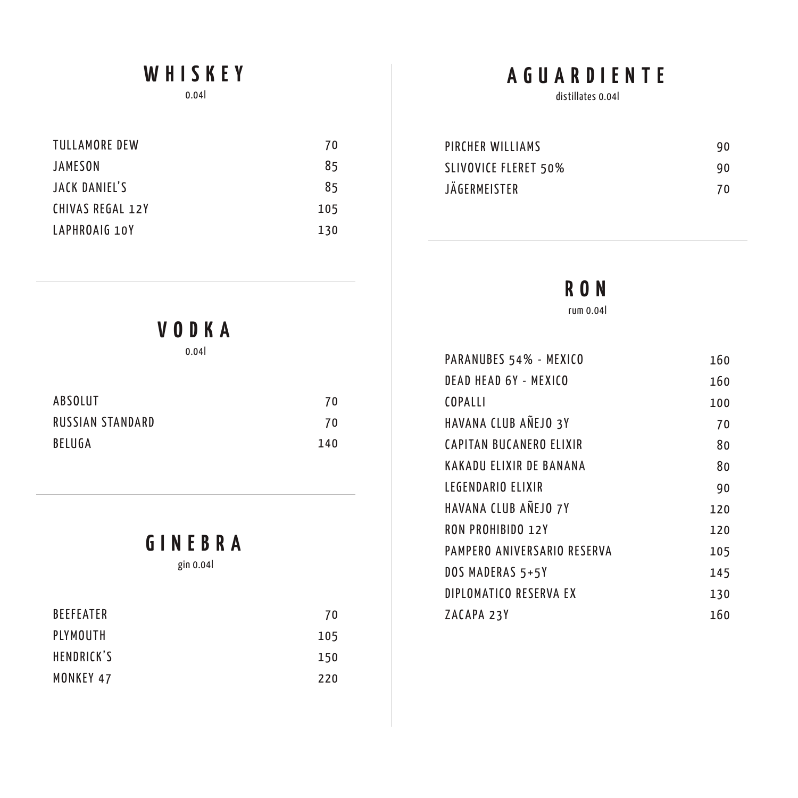# **WHISKEY**

0.04l

| TULLAMORE DEW    | 70  |
|------------------|-----|
| JAMESON          | 85  |
| JACK DANIEL'S    | 85  |
| CHIVAS REGAL 12Y | 105 |
| LAPHROAIG 10Y    | 130 |

# **AGUARDIENTE**

distillates 0.04l

| PIRCHER WILLIAMS     | 90 |
|----------------------|----|
| SLIVOVICE FLERET 50% | 90 |
| JÄGERMEISTER         | 70 |

# **RON**

rum 0.04l

| PARANUBES 54% - MEXICO      | 160 |
|-----------------------------|-----|
| DEAD HEAD 6Y - MEXICO       | 160 |
| COPALLI                     | 100 |
| HAVANA CLUB ANEJO 3Y        | 70  |
| CAPITAN BUCANERO ELIXIR     | 80  |
| KAKADU ELIXIR DE BANANA     | 80  |
| LEGENDARIO ELIXIR           | 90  |
| HAVANA CLUB ANEJO 7Y        | 120 |
| <b>RON PROHIBIDO 12Y</b>    | 120 |
| PAMPERO ANIVERSARIO RESERVA | 105 |
| DOS MADERAS 5+5Y            | 145 |
| DIPLOMATICO RESERVA EX      | 130 |
| ZACAPA 23Y                  | 160 |

**VODKA**

0.04l

| ABSOLUT          | 70  |
|------------------|-----|
| RUSSIAN STANDARD | 70  |
| BELUGA           | 140 |

# **GINEBRA**

gin 0.04l

| <b>BEEFEATER</b> | 70  |
|------------------|-----|
| PLYMOUTH         | 105 |
| HENDRICK'S       | 150 |
| MONKEY 47        | 220 |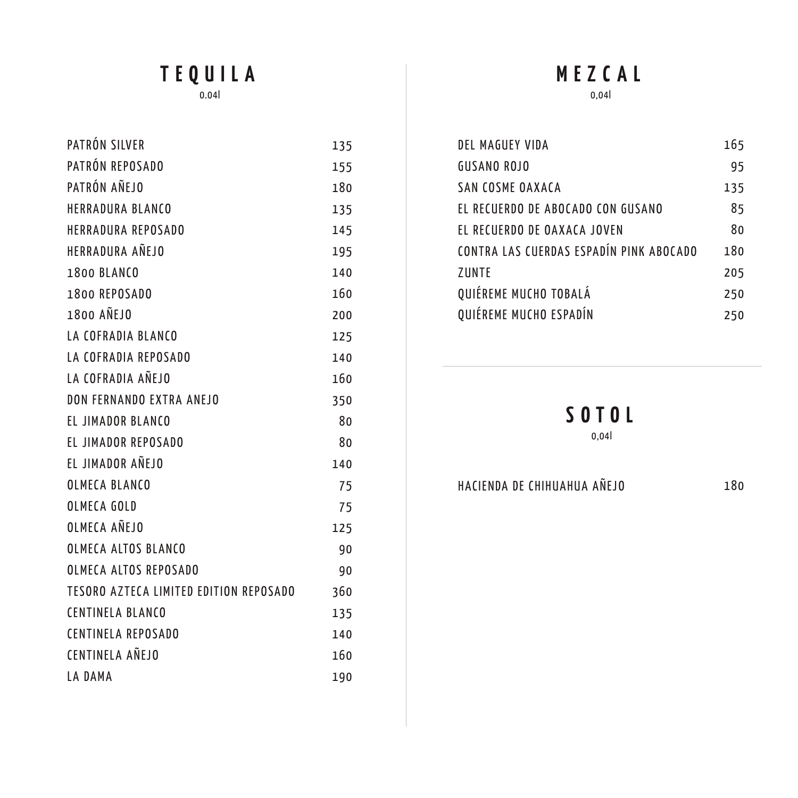# **TEQUILA**

0.04l

| PATRÓN SILVER                          | 135 |
|----------------------------------------|-----|
| PATRÓN REPOSADO                        | 155 |
| PATRÓN AÑEJO                           | 180 |
| <b>HERRADURA BLANCO</b>                | 135 |
| <b>HERRADURA REPOSADO</b>              | 145 |
| <b>HERRADURA AÑEJO</b>                 | 195 |
| <b>1800 BLANCO</b>                     | 140 |
| 1800 REPOSADO                          | 160 |
| 1800 ANEJO                             | 200 |
| LA COFRADIA BLANCO                     | 125 |
| LA COFRADIA REPOSADO                   | 140 |
| LA COFRADIA AÑEJO                      | 160 |
| DON FERNANDO EXTRA ANEJO               | 350 |
| EL JIMADOR BLANCO                      | 80  |
| EL JIMADOR REPOSADO                    | 80  |
| EL JIMADOR AÑEJO                       | 140 |
| OLMECA BLANCO                          | 75  |
| OLMECA GOLD                            | 75  |
| OLMECA AÑEJO                           | 125 |
| <b>OLMECA ALTOS BLANCO</b>             | 90  |
| OLMECA ALTOS REPOSADO                  | 90  |
| TESORO AZTECA LIMITED EDITION REPOSADO | 360 |
| <b>CENTINELA BLANCO</b>                | 135 |
| <b>CENTINELA REPOSADO</b>              | 140 |
| CENTINELA AÑEJO                        | 160 |
| LA DAMA                                | 190 |

# 0,04l **MEZCAL**

#### DEL MAGUEY VIDA **GUSANO ROJO** SAN COSME OAXACA EL RECUERDO DE ABOCADO CON GUSANO EL RECUERDO DE OAXACA JOVEN CONTRA LAS CUERDAS ESPADÍN PINK ABOCADO ZUNTE QUIÉREME MUCHO TOBALÁ QUIÉREME MUCHO ESPADÍN 165 95 135 85 80 180 205 250 250

# **SOTOL**

#### 0,04l

HACIENDA DE CHIHUAHUA AÑEJO